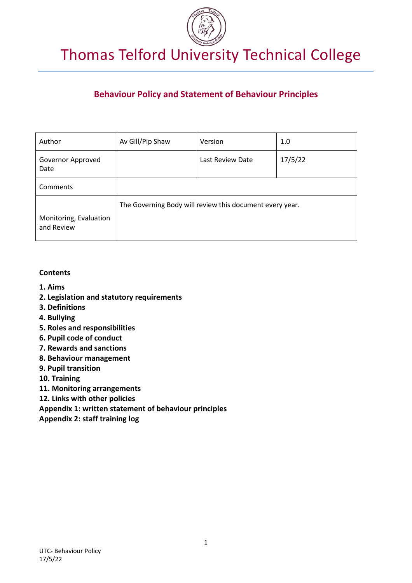

# **Behaviour Policy and Statement of Behaviour Principles**

| Author                               | Av Gill/Pip Shaw                                         | Version          | 1.0     |
|--------------------------------------|----------------------------------------------------------|------------------|---------|
| Governor Approved<br>Date            |                                                          | Last Review Date | 17/5/22 |
| Comments                             |                                                          |                  |         |
|                                      | The Governing Body will review this document every year. |                  |         |
| Monitoring, Evaluation<br>and Review |                                                          |                  |         |

### **Contents**

- **1. Aims**
- **2. Legislation and statutory requirements**
- **3. Definitions**
- **4. Bullying**
- **5. Roles and responsibilities**
- **6. Pupil code of conduct**
- **7. Rewards and sanctions**
- **8. Behaviour management**
- **9. Pupil transition**
- **10. Training**
- **11. Monitoring arrangements**
- **12. Links with other policies**
- **Appendix 1: written statement of behaviour principles**
- **Appendix 2: staff training log**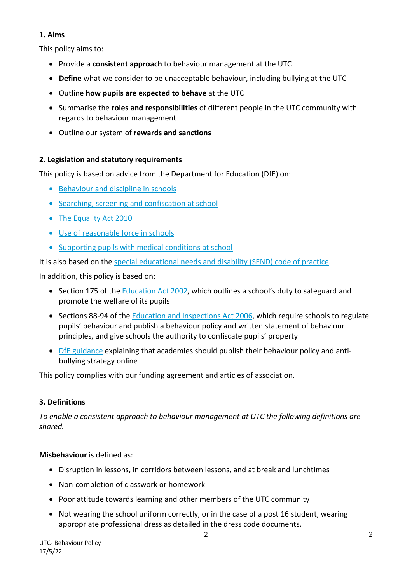## **1. Aims**

This policy aims to:

- Provide a **consistent approach** to behaviour management at the UTC
- **Define** what we consider to be unacceptable behaviour, including bullying at the UTC
- Outline **how pupils are expected to behave** at the UTC
- Summarise the **roles and responsibilities** of different people in the UTC community with regards to behaviour management
- Outline our system of **rewards and sanctions**

## **2. Legislation and statutory requirements**

This policy is based on advice from the Department for Education (DfE) on:

- [Behaviour and discipline in schools](https://www.gov.uk/government/publications/behaviour-and-discipline-in-schools)
- [Searching, screening and confiscation at school](https://www.gov.uk/government/publications/searching-screening-and-confiscation)
- [The Equality Act 2010](https://www.gov.uk/government/publications/equality-act-2010-advice-for-schools)
- [Use of reasonable force in schools](https://www.gov.uk/government/publications/use-of-reasonable-force-in-schools)
- [Supporting pupils with medical conditions at school](https://www.gov.uk/government/publications/supporting-pupils-at-school-with-medical-conditions--3)

It is also based on the [special educational needs and disability \(SEND\) code of practice.](https://www.gov.uk/government/publications/send-code-of-practice-0-to-25)

In addition, this policy is based on:

- Section 175 of the [Education Act 2002,](http://www.legislation.gov.uk/ukpga/2002/32/section/175) which outlines a school's duty to safeguard and promote the welfare of its pupils
- Sections 88-94 of the [Education and Inspections Act 2006,](http://www.legislation.gov.uk/ukpga/2006/40/section/88) which require schools to regulate pupils' behaviour and publish a behaviour policy and written statement of behaviour principles, and give schools the authority to confiscate pupils' property
- [DfE guidance](https://www.gov.uk/guidance/what-academies-free-schools-and-colleges-should-publish-online) explaining that academies should publish their behaviour policy and antibullying strategy online

This policy complies with our funding agreement and articles of association.

## **3. Definitions**

*To enable a consistent approach to behaviour management at UTC the following definitions are shared.* 

## **Misbehaviour** is defined as:

- Disruption in lessons, in corridors between lessons, and at break and lunchtimes
- Non-completion of classwork or homework
- Poor attitude towards learning and other members of the UTC community
- Not wearing the school uniform correctly, or in the case of a post 16 student, wearing appropriate professional dress as detailed in the dress code documents.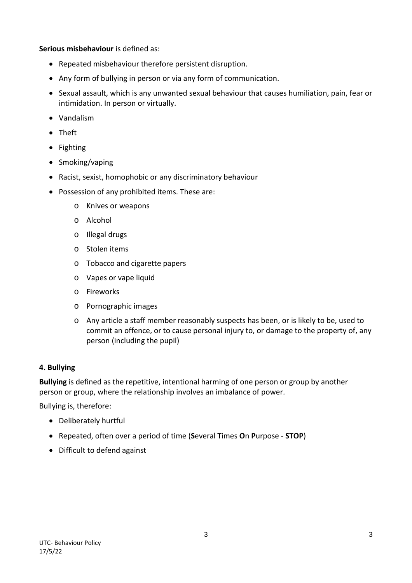**Serious misbehaviour** is defined as:

- Repeated misbehaviour therefore persistent disruption.
- Any form of bullying in person or via any form of communication.
- Sexual assault, which is any unwanted sexual behaviour that causes humiliation, pain, fear or intimidation. In person or virtually.
- Vandalism
- Theft
- Fighting
- Smoking/vaping
- Racist, sexist, homophobic or any discriminatory behaviour
- Possession of any prohibited items. These are:
	- o Knives or weapons
	- o Alcohol
	- o Illegal drugs
	- o Stolen items
	- o Tobacco and cigarette papers
	- o Vapes or vape liquid
	- o Fireworks
	- o Pornographic images
	- o Any article a staff member reasonably suspects has been, or is likely to be, used to commit an offence, or to cause personal injury to, or damage to the property of, any person (including the pupil)

#### **4. Bullying**

**Bullying** is defined as the repetitive, intentional harming of one person or group by another person or group, where the relationship involves an imbalance of power.

Bullying is, therefore:

- Deliberately hurtful
- Repeated, often over a period of time (**S**everal **T**imes **O**n **P**urpose **STOP**)
- Difficult to defend against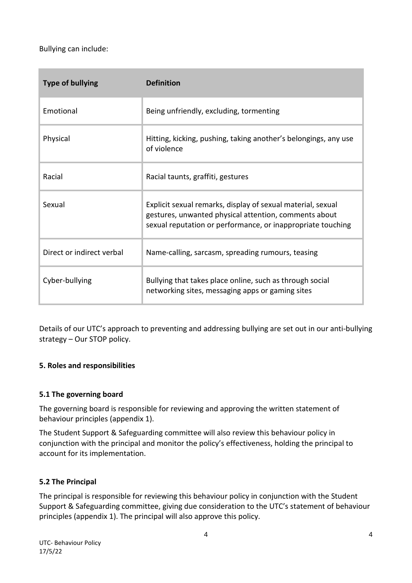Bullying can include:

| <b>Type of bullying</b>   | <b>Definition</b>                                                                                                                                                                   |  |
|---------------------------|-------------------------------------------------------------------------------------------------------------------------------------------------------------------------------------|--|
| Emotional                 | Being unfriendly, excluding, tormenting                                                                                                                                             |  |
| Physical                  | Hitting, kicking, pushing, taking another's belongings, any use<br>of violence                                                                                                      |  |
| Racial                    | Racial taunts, graffiti, gestures                                                                                                                                                   |  |
| Sexual                    | Explicit sexual remarks, display of sexual material, sexual<br>gestures, unwanted physical attention, comments about<br>sexual reputation or performance, or inappropriate touching |  |
| Direct or indirect verbal | Name-calling, sarcasm, spreading rumours, teasing                                                                                                                                   |  |
| Cyber-bullying            | Bullying that takes place online, such as through social<br>networking sites, messaging apps or gaming sites                                                                        |  |

Details of our UTC's approach to preventing and addressing bullying are set out in our anti-bullying strategy – Our STOP policy.

## **5. Roles and responsibilities**

### **5.1 The governing board**

The governing board is responsible for reviewing and approving the written statement of behaviour principles (appendix 1).

The Student Support & Safeguarding committee will also review this behaviour policy in conjunction with the principal and monitor the policy's effectiveness, holding the principal to account for its implementation.

### **5.2 The Principal**

The principal is responsible for reviewing this behaviour policy in conjunction with the Student Support & Safeguarding committee, giving due consideration to the UTC's statement of behaviour principles (appendix 1). The principal will also approve this policy.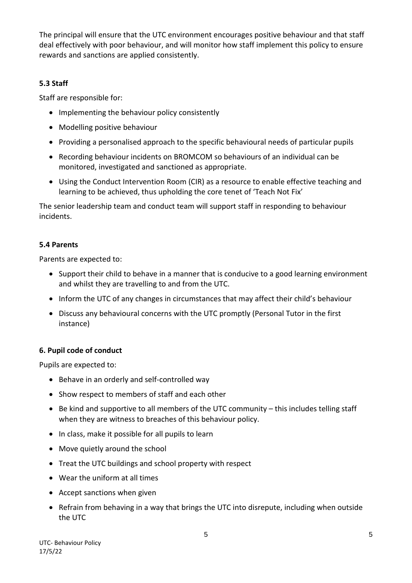The principal will ensure that the UTC environment encourages positive behaviour and that staff deal effectively with poor behaviour, and will monitor how staff implement this policy to ensure rewards and sanctions are applied consistently.

## **5.3 Staff**

Staff are responsible for:

- Implementing the behaviour policy consistently
- Modelling positive behaviour
- Providing a personalised approach to the specific behavioural needs of particular pupils
- Recording behaviour incidents on BROMCOM so behaviours of an individual can be monitored, investigated and sanctioned as appropriate.
- Using the Conduct Intervention Room (CIR) as a resource to enable effective teaching and learning to be achieved, thus upholding the core tenet of 'Teach Not Fix'

The senior leadership team and conduct team will support staff in responding to behaviour incidents.

## **5.4 Parents**

Parents are expected to:

- Support their child to behave in a manner that is conducive to a good learning environment and whilst they are travelling to and from the UTC.
- Inform the UTC of any changes in circumstances that may affect their child's behaviour
- Discuss any behavioural concerns with the UTC promptly (Personal Tutor in the first instance)

## **6. Pupil code of conduct**

Pupils are expected to:

- Behave in an orderly and self-controlled way
- Show respect to members of staff and each other
- Be kind and supportive to all members of the UTC community this includes telling staff when they are witness to breaches of this behaviour policy.
- In class, make it possible for all pupils to learn
- Move quietly around the school
- Treat the UTC buildings and school property with respect
- Wear the uniform at all times
- Accept sanctions when given
- Refrain from behaving in a way that brings the UTC into disrepute, including when outside the UTC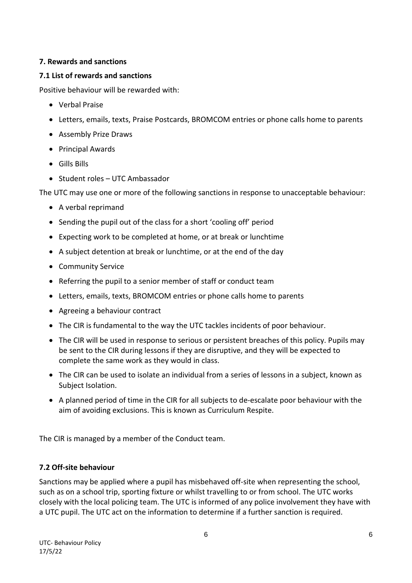## **7. Rewards and sanctions**

### **7.1 List of rewards and sanctions**

Positive behaviour will be rewarded with:

- Verbal Praise
- Letters, emails, texts, Praise Postcards, BROMCOM entries or phone calls home to parents
- Assembly Prize Draws
- Principal Awards
- Gills Bills
- Student roles UTC Ambassador

The UTC may use one or more of the following sanctions in response to unacceptable behaviour:

- A verbal reprimand
- Sending the pupil out of the class for a short 'cooling off' period
- Expecting work to be completed at home, or at break or lunchtime
- A subject detention at break or lunchtime, or at the end of the day
- Community Service
- Referring the pupil to a senior member of staff or conduct team
- Letters, emails, texts, BROMCOM entries or phone calls home to parents
- Agreeing a behaviour contract
- The CIR is fundamental to the way the UTC tackles incidents of poor behaviour.
- The CIR will be used in response to serious or persistent breaches of this policy. Pupils may be sent to the CIR during lessons if they are disruptive, and they will be expected to complete the same work as they would in class.
- The CIR can be used to isolate an individual from a series of lessons in a subject, known as Subject Isolation.
- A planned period of time in the CIR for all subjects to de-escalate poor behaviour with the aim of avoiding exclusions. This is known as Curriculum Respite.

The CIR is managed by a member of the Conduct team.

## **7.2 Off-site behaviour**

Sanctions may be applied where a pupil has misbehaved off-site when representing the school, such as on a school trip, sporting fixture or whilst travelling to or from school. The UTC works closely with the local policing team. The UTC is informed of any police involvement they have with a UTC pupil. The UTC act on the information to determine if a further sanction is required.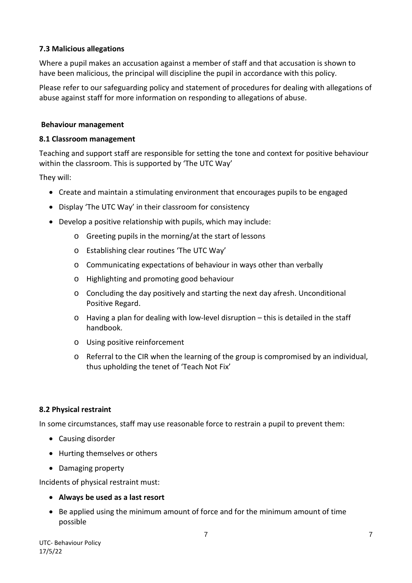### **7.3 Malicious allegations**

Where a pupil makes an accusation against a member of staff and that accusation is shown to have been malicious, the principal will discipline the pupil in accordance with this policy.

Please refer to our safeguarding policy and statement of procedures for dealing with allegations of abuse against staff for more information on responding to allegations of abuse.

#### **Behaviour management**

#### **8.1 Classroom management**

Teaching and support staff are responsible for setting the tone and context for positive behaviour within the classroom. This is supported by 'The UTC Way'

They will:

- Create and maintain a stimulating environment that encourages pupils to be engaged
- Display 'The UTC Way' in their classroom for consistency
- Develop a positive relationship with pupils, which may include:
	- o Greeting pupils in the morning/at the start of lessons
	- o Establishing clear routines 'The UTC Way'
	- o Communicating expectations of behaviour in ways other than verbally
	- o Highlighting and promoting good behaviour
	- o Concluding the day positively and starting the next day afresh. Unconditional Positive Regard.
	- o Having a plan for dealing with low-level disruption this is detailed in the staff handbook.
	- o Using positive reinforcement
	- o Referral to the CIR when the learning of the group is compromised by an individual, thus upholding the tenet of 'Teach Not Fix'

### **8.2 Physical restraint**

In some circumstances, staff may use reasonable force to restrain a pupil to prevent them:

- Causing disorder
- Hurting themselves or others
- Damaging property

Incidents of physical restraint must:

### • **Always be used as a last resort**

• Be applied using the minimum amount of force and for the minimum amount of time possible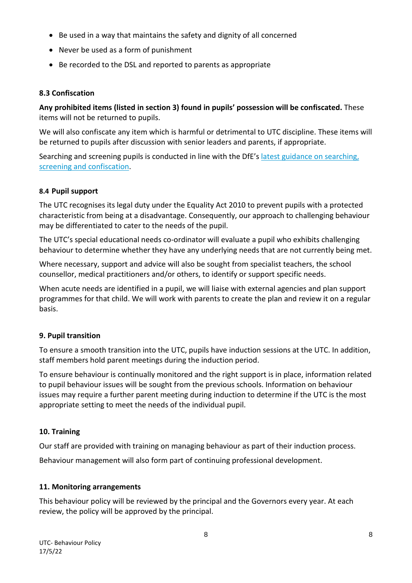- Be used in a way that maintains the safety and dignity of all concerned
- Never be used as a form of punishment
- Be recorded to the DSL and reported to parents as appropriate

### **8.3 Confiscation**

**Any prohibited items (listed in section 3) found in pupils' possession will be confiscated.** These items will not be returned to pupils.

We will also confiscate any item which is harmful or detrimental to UTC discipline. These items will be returned to pupils after discussion with senior leaders and parents, if appropriate.

Searching and screening pupils is conducted in line with the DfE's latest guidance on searching, [screening and confiscation.](https://www.gov.uk/government/publications/searching-screening-and-confiscation)

#### **8.4 Pupil support**

The UTC recognises its legal duty under the Equality Act 2010 to prevent pupils with a protected characteristic from being at a disadvantage. Consequently, our approach to challenging behaviour may be differentiated to cater to the needs of the pupil.

The UTC's special educational needs co-ordinator will evaluate a pupil who exhibits challenging behaviour to determine whether they have any underlying needs that are not currently being met.

Where necessary, support and advice will also be sought from specialist teachers, the school counsellor, medical practitioners and/or others, to identify or support specific needs.

When acute needs are identified in a pupil, we will liaise with external agencies and plan support programmes for that child. We will work with parents to create the plan and review it on a regular basis.

### **9. Pupil transition**

To ensure a smooth transition into the UTC, pupils have induction sessions at the UTC. In addition, staff members hold parent meetings during the induction period.

To ensure behaviour is continually monitored and the right support is in place, information related to pupil behaviour issues will be sought from the previous schools. Information on behaviour issues may require a further parent meeting during induction to determine if the UTC is the most appropriate setting to meet the needs of the individual pupil.

### **10. Training**

Our staff are provided with training on managing behaviour as part of their induction process.

Behaviour management will also form part of continuing professional development.

### **11. Monitoring arrangements**

This behaviour policy will be reviewed by the principal and the Governors every year. At each review, the policy will be approved by the principal.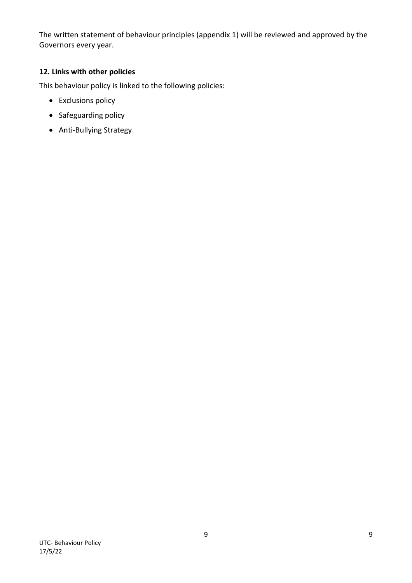The written statement of behaviour principles (appendix 1) will be reviewed and approved by the Governors every year.

### **12. Links with other policies**

This behaviour policy is linked to the following policies:

- Exclusions policy
- Safeguarding policy
- Anti-Bullying Strategy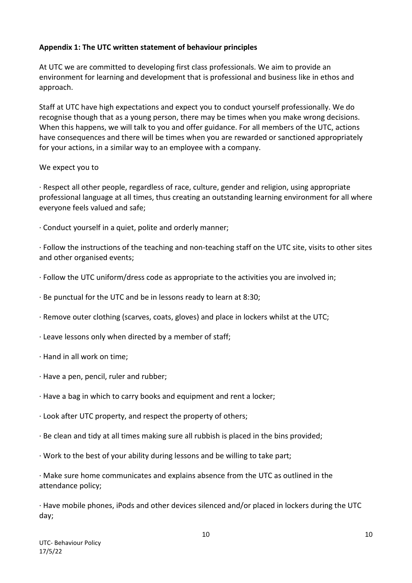### **Appendix 1: The UTC written statement of behaviour principles**

At UTC we are committed to developing first class professionals. We aim to provide an environment for learning and development that is professional and business like in ethos and approach.

Staff at UTC have high expectations and expect you to conduct yourself professionally. We do recognise though that as a young person, there may be times when you make wrong decisions. When this happens, we will talk to you and offer guidance. For all members of the UTC, actions have consequences and there will be times when you are rewarded or sanctioned appropriately for your actions, in a similar way to an employee with a company.

### We expect you to

· Respect all other people, regardless of race, culture, gender and religion, using appropriate professional language at all times, thus creating an outstanding learning environment for all where everyone feels valued and safe;

· Conduct yourself in a quiet, polite and orderly manner;

· Follow the instructions of the teaching and non-teaching staff on the UTC site, visits to other sites and other organised events;

- · Follow the UTC uniform/dress code as appropriate to the activities you are involved in;
- · Be punctual for the UTC and be in lessons ready to learn at 8:30;
- · Remove outer clothing (scarves, coats, gloves) and place in lockers whilst at the UTC;
- · Leave lessons only when directed by a member of staff;
- · Hand in all work on time;
- · Have a pen, pencil, ruler and rubber;
- · Have a bag in which to carry books and equipment and rent a locker;
- · Look after UTC property, and respect the property of others;
- · Be clean and tidy at all times making sure all rubbish is placed in the bins provided;
- · Work to the best of your ability during lessons and be willing to take part;

· Make sure home communicates and explains absence from the UTC as outlined in the attendance policy;

· Have mobile phones, iPods and other devices silenced and/or placed in lockers during the UTC day;